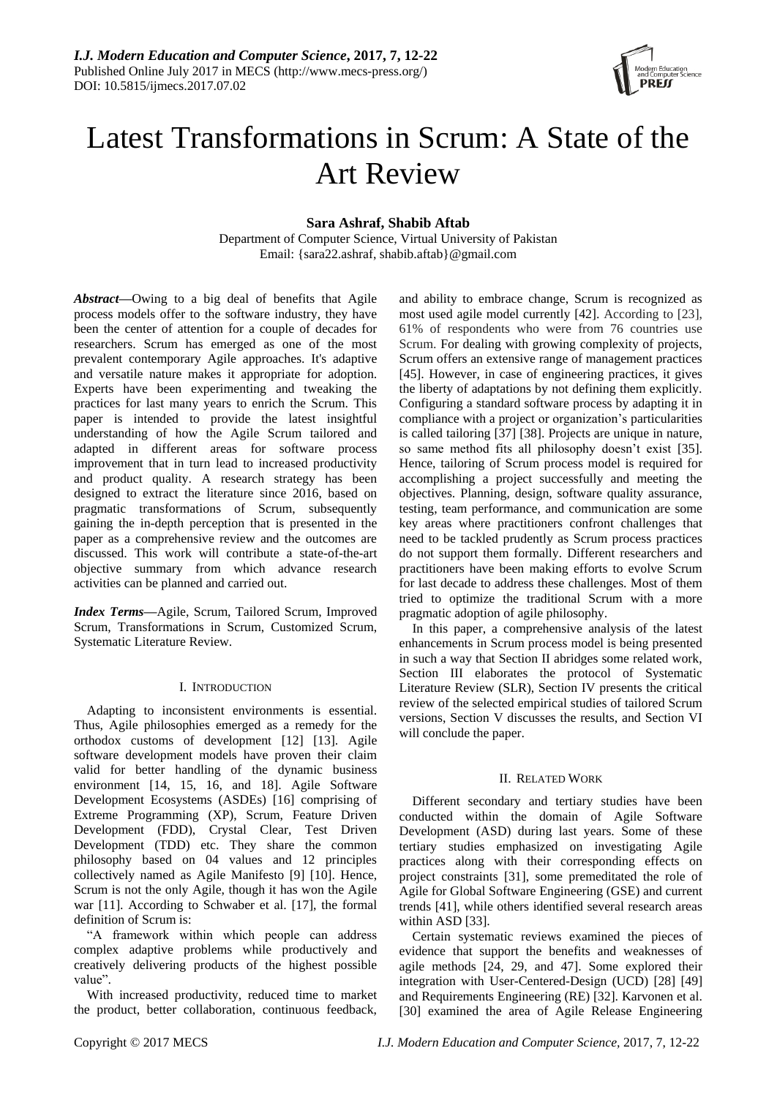

# Latest Transformations in Scrum: A State of the Art Review

# **Sara Ashraf, Shabib Aftab**

Department of Computer Science, Virtual University of Pakistan Email: {sara22.ashraf, shabib.aftab}@gmail.com

*Abstract***—**Owing to a big deal of benefits that Agile process models offer to the software industry, they have been the center of attention for a couple of decades for researchers. Scrum has emerged as one of the most prevalent contemporary Agile approaches. It's adaptive and versatile nature makes it appropriate for adoption. Experts have been experimenting and tweaking the practices for last many years to enrich the Scrum. This paper is intended to provide the latest insightful understanding of how the Agile Scrum tailored and adapted in different areas for software process improvement that in turn lead to increased productivity and product quality. A research strategy has been designed to extract the literature since 2016, based on pragmatic transformations of Scrum, subsequently gaining the in-depth perception that is presented in the paper as a comprehensive review and the outcomes are discussed. This work will contribute a state-of-the-art objective summary from which advance research activities can be planned and carried out.

*Index Terms***—**Agile, Scrum, Tailored Scrum, Improved Scrum, Transformations in Scrum, Customized Scrum, Systematic Literature Review.

# I. INTRODUCTION

Adapting to inconsistent environments is essential. Thus, Agile philosophies emerged as a remedy for the orthodox customs of development [12] [13]. Agile software development models have proven their claim valid for better handling of the dynamic business environment [14, 15, 16, and 18]. Agile Software Development Ecosystems (ASDEs) [16] comprising of Extreme Programming (XP), Scrum, Feature Driven Development (FDD), Crystal Clear, Test Driven Development (TDD) etc. They share the common philosophy based on 04 values and 12 principles collectively named as Agile Manifesto [9] [10]. Hence, Scrum is not the only Agile, though it has won the Agile war [11]. According to Schwaber et al. [17], the formal definition of Scrum is:

"A framework within which people can address complex adaptive problems while productively and creatively delivering products of the highest possible value".

With increased productivity, reduced time to market the product, better collaboration, continuous feedback,

and ability to embrace change, Scrum is recognized as most used agile model currently [42]. According to [23], 61% of respondents who were from 76 countries use Scrum. For dealing with growing complexity of projects, Scrum offers an extensive range of management practices [45]. However, in case of engineering practices, it gives the liberty of adaptations by not defining them explicitly. Configuring a standard software process by adapting it in compliance with a project or organization's particularities is called tailoring [37] [38]. Projects are unique in nature, so same method fits all philosophy doesn't exist [35]. Hence, tailoring of Scrum process model is required for accomplishing a project successfully and meeting the objectives. Planning, design, software quality assurance, testing, team performance, and communication are some key areas where practitioners confront challenges that need to be tackled prudently as Scrum process practices do not support them formally. Different researchers and practitioners have been making efforts to evolve Scrum for last decade to address these challenges. Most of them tried to optimize the traditional Scrum with a more pragmatic adoption of agile philosophy.

In this paper, a comprehensive analysis of the latest enhancements in Scrum process model is being presented in such a way that Section II abridges some related work, Section III elaborates the protocol of Systematic Literature Review (SLR), Section IV presents the critical review of the selected empirical studies of tailored Scrum versions, Section V discusses the results, and Section VI will conclude the paper.

# II. RELATED WORK

Different secondary and tertiary studies have been conducted within the domain of Agile Software Development (ASD) during last years. Some of these tertiary studies emphasized on investigating Agile practices along with their corresponding effects on project constraints [31], some premeditated the role of Agile for Global Software Engineering (GSE) and current trends [41], while others identified several research areas within ASD [33].

Certain systematic reviews examined the pieces of evidence that support the benefits and weaknesses of agile methods [24, 29, and 47]. Some explored their integration with User-Centered-Design (UCD) [28] [49] and Requirements Engineering (RE) [32]. Karvonen et al. [30] examined the area of Agile Release Engineering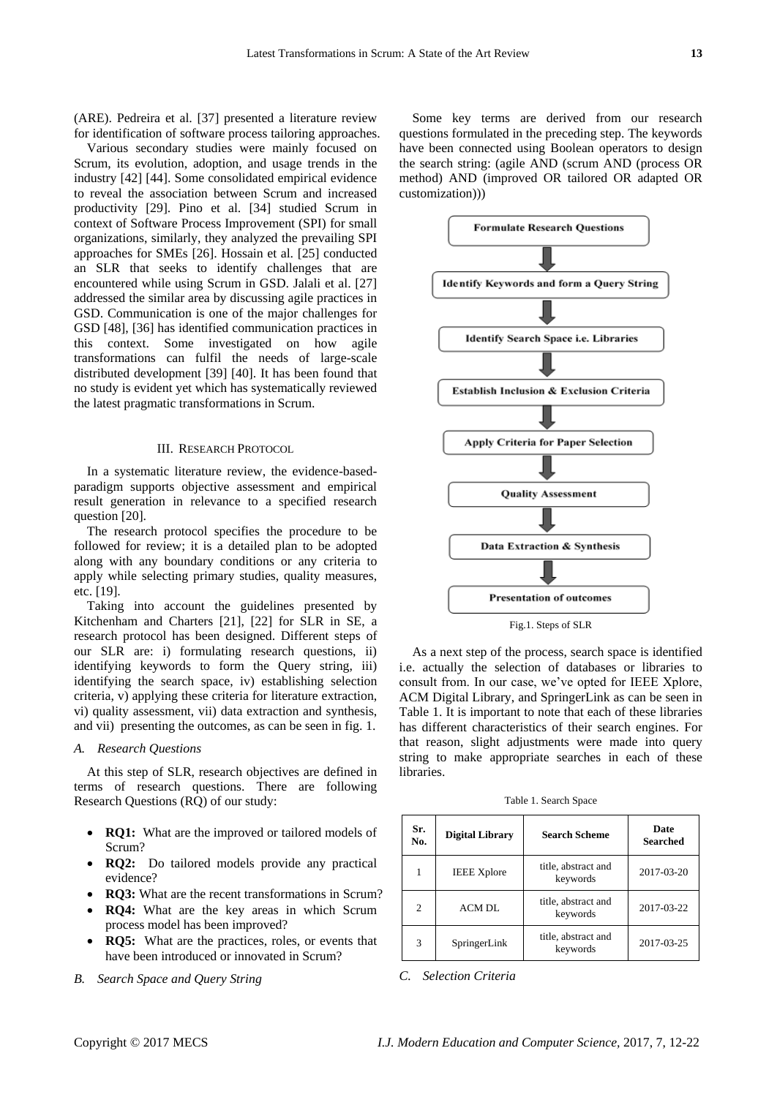(ARE). Pedreira et al. [37] presented a literature review for identification of software process tailoring approaches.

Various secondary studies were mainly focused on Scrum, its evolution, adoption, and usage trends in the industry [42] [44]. Some consolidated empirical evidence to reveal the association between Scrum and increased productivity [29]. Pino et al. [34] studied Scrum in context of Software Process Improvement (SPI) for small organizations, similarly, they analyzed the prevailing SPI approaches for SMEs [26]. Hossain et al. [25] conducted an SLR that seeks to identify challenges that are encountered while using Scrum in GSD. Jalali et al. [27] addressed the similar area by discussing agile practices in GSD. Communication is one of the major challenges for GSD [48], [36] has identified communication practices in this context. Some investigated on how agile transformations can fulfil the needs of large-scale distributed development [39] [40]. It has been found that no study is evident yet which has systematically reviewed the latest pragmatic transformations in Scrum.

#### III. RESEARCH PROTOCOL

In a systematic literature review, the evidence-basedparadigm supports objective assessment and empirical result generation in relevance to a specified research question [20].

The research protocol specifies the procedure to be followed for review; it is a detailed plan to be adopted along with any boundary conditions or any criteria to apply while selecting primary studies, quality measures, etc. [19].

Taking into account the guidelines presented by Kitchenham and Charters [21], [22] for SLR in SE, a research protocol has been designed. Different steps of our SLR are: i) formulating research questions, ii) identifying keywords to form the Query string, iii) identifying the search space, iv) establishing selection criteria, v) applying these criteria for literature extraction, vi) quality assessment, vii) data extraction and synthesis, and vii) presenting the outcomes, as can be seen in fig. 1.

## *A. Research Questions*

At this step of SLR, research objectives are defined in terms of research questions. There are following Research Questions (RQ) of our study:

- **RQ1:** What are the improved or tailored models of Scrum?
- **RQ2:** Do tailored models provide any practical evidence?
- **RQ3:** What are the recent transformations in Scrum?
- **RO4:** What are the key areas in which Scrum process model has been improved?
- **RQ5:** What are the practices, roles, or events that have been introduced or innovated in Scrum?
- *B. Search Space and Query String*

Some key terms are derived from our research questions formulated in the preceding step. The keywords have been connected using Boolean operators to design the search string: (agile AND (scrum AND (process OR method) AND (improved OR tailored OR adapted OR customization)))



As a next step of the process, search space is identified i.e. actually the selection of databases or libraries to consult from. In our case, we've opted for IEEE Xplore, ACM Digital Library, and SpringerLink as can be seen in Table 1. It is important to note that each of these libraries has different characteristics of their search engines. For that reason, slight adjustments were made into query string to make appropriate searches in each of these libraries.

Table 1. Search Space

| Sr.<br>No.     | <b>Digital Library</b> | <b>Search Scheme</b>            | Date<br><b>Searched</b> |
|----------------|------------------------|---------------------------------|-------------------------|
|                | <b>IEEE Xplore</b>     | title, abstract and<br>keywords | 2017-03-20              |
| $\overline{c}$ | ACM DL                 | title, abstract and<br>keywords | 2017-03-22              |
| 3              | SpringerLink           | title, abstract and<br>keywords | 2017-03-25              |

*C. Selection Criteria*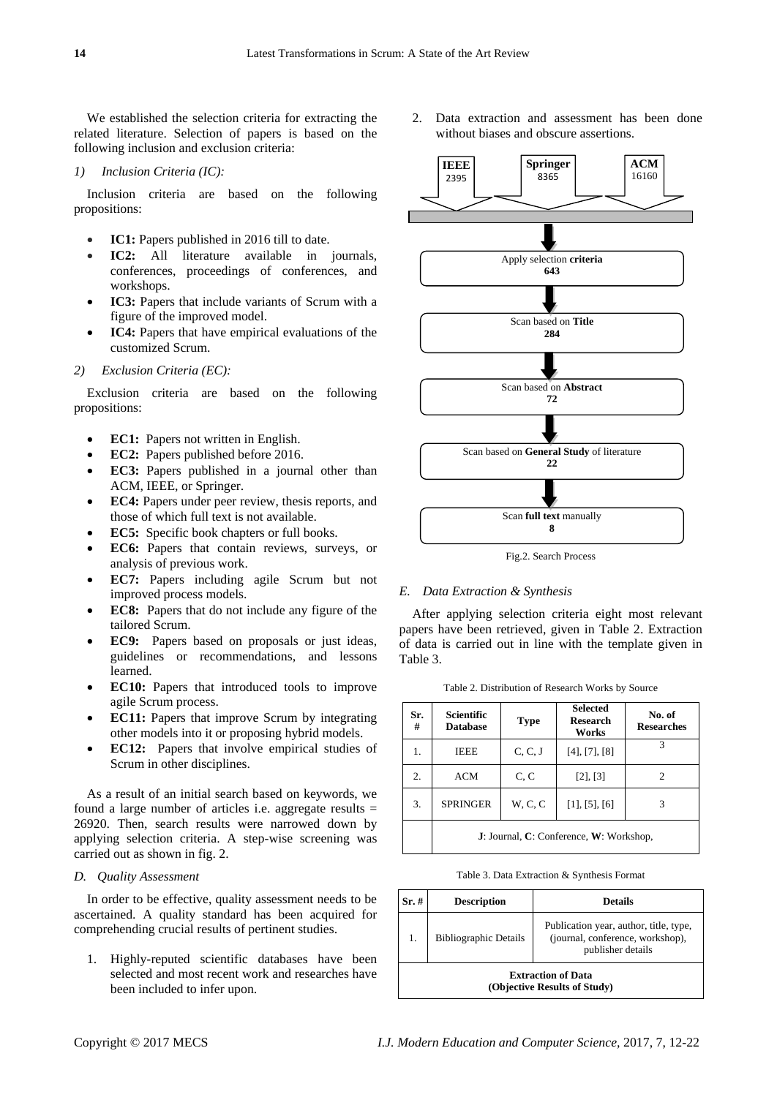We established the selection criteria for extracting the related literature. Selection of papers is based on the following inclusion and exclusion criteria:

# *1) Inclusion Criteria (IC):*

Inclusion criteria are based on the following propositions:

- **IC1:** Papers published in 2016 till to date.
- **IC2:** All literature available in journals, conferences, proceedings of conferences, and workshops.
- **IC3:** Papers that include variants of Scrum with a figure of the improved model.
- **IC4:** Papers that have empirical evaluations of the customized Scrum.

## *2) Exclusion Criteria (EC):*

Exclusion criteria are based on the following propositions:

- **EC1:** Papers not written in English.
- **EC2:** Papers published before 2016.
- **EC3:** Papers published in a journal other than ACM, IEEE, or Springer.
- **EC4:** Papers under peer review, thesis reports, and those of which full text is not available.
- **EC5:** Specific book chapters or full books.
- **EC6:** Papers that contain reviews, surveys, or analysis of previous work.
- **EC7:** Papers including agile Scrum but not improved process models.
- **EC8:** Papers that do not include any figure of the tailored Scrum.
- **EC9:** Papers based on proposals or just ideas, guidelines or recommendations, and lessons learned.
- **EC10:** Papers that introduced tools to improve agile Scrum process.
- **EC11:** Papers that improve Scrum by integrating other models into it or proposing hybrid models.
- **EC12:** Papers that involve empirical studies of Scrum in other disciplines.

As a result of an initial search based on keywords, we found a large number of articles i.e. aggregate results  $=$ 26920. Then, search results were narrowed down by applying selection criteria. A step-wise screening was carried out as shown in fig. 2.

# *D. Quality Assessment*

In order to be effective, quality assessment needs to be ascertained. A quality standard has been acquired for comprehending crucial results of pertinent studies.

1. Highly-reputed scientific databases have been selected and most recent work and researches have been included to infer upon.

2. Data extraction and assessment has been done without biases and obscure assertions.



Fig.2. Search Process

#### *E. Data Extraction & Synthesis*

After applying selection criteria eight most relevant papers have been retrieved, given in Table 2. Extraction of data is carried out in line with the template given in Table 3.

Table 2. Distribution of Research Works by Source

| Sr.<br># | <b>Scientific</b><br><b>Database</b>    | <b>Type</b> | <b>Selected</b><br><b>Research</b><br>Works | No. of<br><b>Researches</b> |  |
|----------|-----------------------------------------|-------------|---------------------------------------------|-----------------------------|--|
| 1.       | <b>IEEE</b>                             | C, C, J     | [4], [7], [8]                               | 3                           |  |
| 2.       | <b>ACM</b>                              | C, C        | [2], [3]                                    | 2                           |  |
| 3.       | <b>SPRINGER</b>                         | W, C, C     | [1], [5], [6]                               | 3                           |  |
|          | J: Journal, C: Conference, W: Workshop, |             |                                             |                             |  |

Table 3. Data Extraction & Synthesis Format

| Sr.#                                                      | <b>Description</b>           | <b>Details</b>                                                                                  |  |  |
|-----------------------------------------------------------|------------------------------|-------------------------------------------------------------------------------------------------|--|--|
| 1.                                                        | <b>Bibliographic Details</b> | Publication year, author, title, type,<br>(journal, conference, workshop),<br>publisher details |  |  |
| <b>Extraction of Data</b><br>(Objective Results of Study) |                              |                                                                                                 |  |  |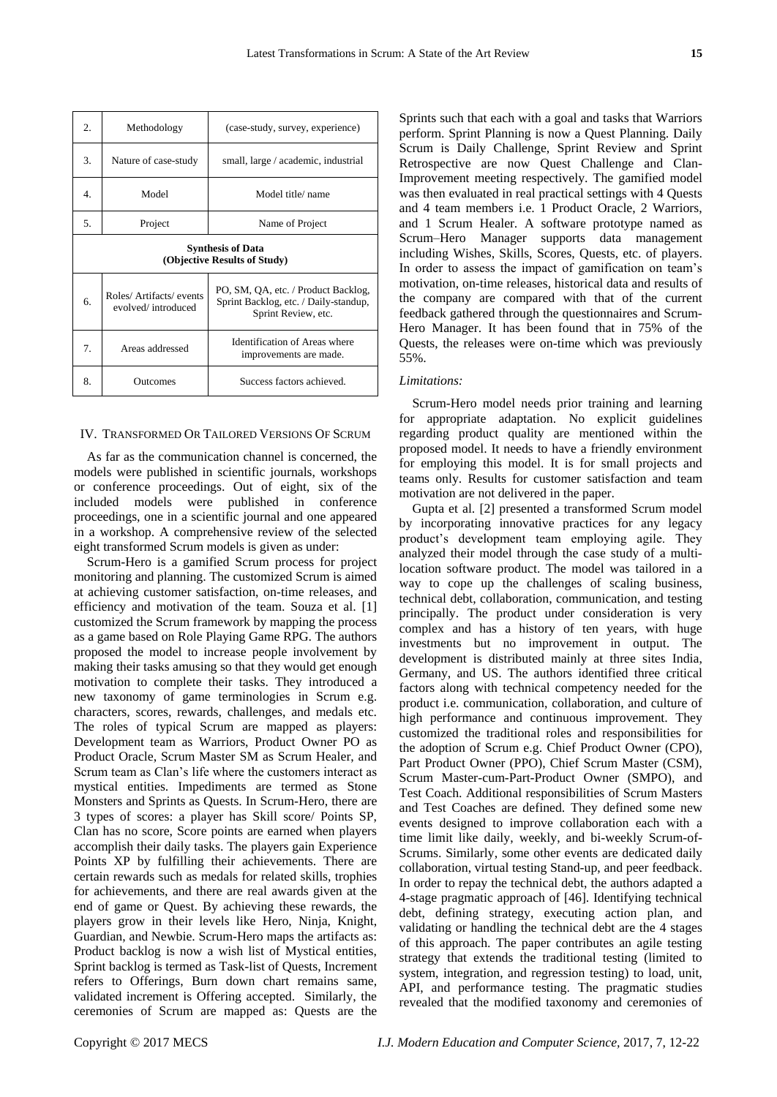| 2.                                                       | Methodology                                    | (case-study, survey, experience)                                                                    |  |  |
|----------------------------------------------------------|------------------------------------------------|-----------------------------------------------------------------------------------------------------|--|--|
| 3.                                                       | Nature of case-study                           | small, large / academic, industrial                                                                 |  |  |
| 4.                                                       | Model                                          | Model title/ name                                                                                   |  |  |
| 5.                                                       | Project                                        | Name of Project                                                                                     |  |  |
| <b>Synthesis of Data</b><br>(Objective Results of Study) |                                                |                                                                                                     |  |  |
| 6.                                                       | Roles/ Artifacts/ events<br>evolved/introduced | PO, SM, QA, etc. / Product Backlog,<br>Sprint Backlog, etc. / Daily-standup,<br>Sprint Review, etc. |  |  |
| 7.                                                       | Areas addressed                                | Identification of Areas where<br>improvements are made.                                             |  |  |
| 8.                                                       | Outcomes                                       | Success factors achieved.                                                                           |  |  |

#### IV. TRANSFORMED OR TAILORED VERSIONS OF SCRUM

As far as the communication channel is concerned, the models were published in scientific journals, workshops or conference proceedings. Out of eight, six of the included models were published in conference proceedings, one in a scientific journal and one appeared in a workshop. A comprehensive review of the selected eight transformed Scrum models is given as under:

Scrum-Hero is a gamified Scrum process for project monitoring and planning. The customized Scrum is aimed at achieving customer satisfaction, on-time releases, and efficiency and motivation of the team. Souza et al. [1] customized the Scrum framework by mapping the process as a game based on Role Playing Game RPG. The authors proposed the model to increase people involvement by making their tasks amusing so that they would get enough motivation to complete their tasks. They introduced a new taxonomy of game terminologies in Scrum e.g. characters, scores, rewards, challenges, and medals etc. The roles of typical Scrum are mapped as players: Development team as Warriors, Product Owner PO as Product Oracle, Scrum Master SM as Scrum Healer, and Scrum team as Clan's life where the customers interact as mystical entities. Impediments are termed as Stone Monsters and Sprints as Quests. In Scrum-Hero, there are 3 types of scores: a player has Skill score/ Points SP, Clan has no score, Score points are earned when players accomplish their daily tasks. The players gain Experience Points XP by fulfilling their achievements. There are certain rewards such as medals for related skills, trophies for achievements, and there are real awards given at the end of game or Quest. By achieving these rewards, the players grow in their levels like Hero, Ninja, Knight, Guardian, and Newbie. Scrum-Hero maps the artifacts as: Product backlog is now a wish list of Mystical entities, Sprint backlog is termed as Task-list of Quests, Increment refers to Offerings, Burn down chart remains same, validated increment is Offering accepted. Similarly, the ceremonies of Scrum are mapped as: Quests are the

Sprints such that each with a goal and tasks that Warriors perform. Sprint Planning is now a Quest Planning. Daily Scrum is Daily Challenge, Sprint Review and Sprint Retrospective are now Quest Challenge and Clan-Improvement meeting respectively. The gamified model was then evaluated in real practical settings with 4 Quests and 4 team members i.e. 1 Product Oracle, 2 Warriors, and 1 Scrum Healer. A software prototype named as Scrum–Hero Manager supports data management including Wishes, Skills, Scores, Quests, etc. of players. In order to assess the impact of gamification on team's motivation, on-time releases, historical data and results of the company are compared with that of the current feedback gathered through the questionnaires and Scrum-Hero Manager. It has been found that in 75% of the Quests, the releases were on-time which was previously 55%.

#### *Limitations:*

Scrum-Hero model needs prior training and learning for appropriate adaptation. No explicit guidelines regarding product quality are mentioned within the proposed model. It needs to have a friendly environment for employing this model. It is for small projects and teams only. Results for customer satisfaction and team motivation are not delivered in the paper.

Gupta et al. [2] presented a transformed Scrum model by incorporating innovative practices for any legacy product's development team employing agile. They analyzed their model through the case study of a multilocation software product. The model was tailored in a way to cope up the challenges of scaling business, technical debt, collaboration, communication, and testing principally. The product under consideration is very complex and has a history of ten years, with huge investments but no improvement in output. The development is distributed mainly at three sites India, Germany, and US. The authors identified three critical factors along with technical competency needed for the product i.e. communication, collaboration, and culture of high performance and continuous improvement. They customized the traditional roles and responsibilities for the adoption of Scrum e.g. Chief Product Owner (CPO), Part Product Owner (PPO), Chief Scrum Master (CSM), Scrum Master-cum-Part-Product Owner (SMPO), and Test Coach. Additional responsibilities of Scrum Masters and Test Coaches are defined. They defined some new events designed to improve collaboration each with a time limit like daily, weekly, and bi-weekly Scrum-of-Scrums. Similarly, some other events are dedicated daily collaboration, virtual testing Stand-up, and peer feedback. In order to repay the technical debt, the authors adapted a 4-stage pragmatic approach of [46]. Identifying technical debt, defining strategy, executing action plan, and validating or handling the technical debt are the 4 stages of this approach. The paper contributes an agile testing strategy that extends the traditional testing (limited to system, integration, and regression testing) to load, unit, API, and performance testing. The pragmatic studies revealed that the modified taxonomy and ceremonies of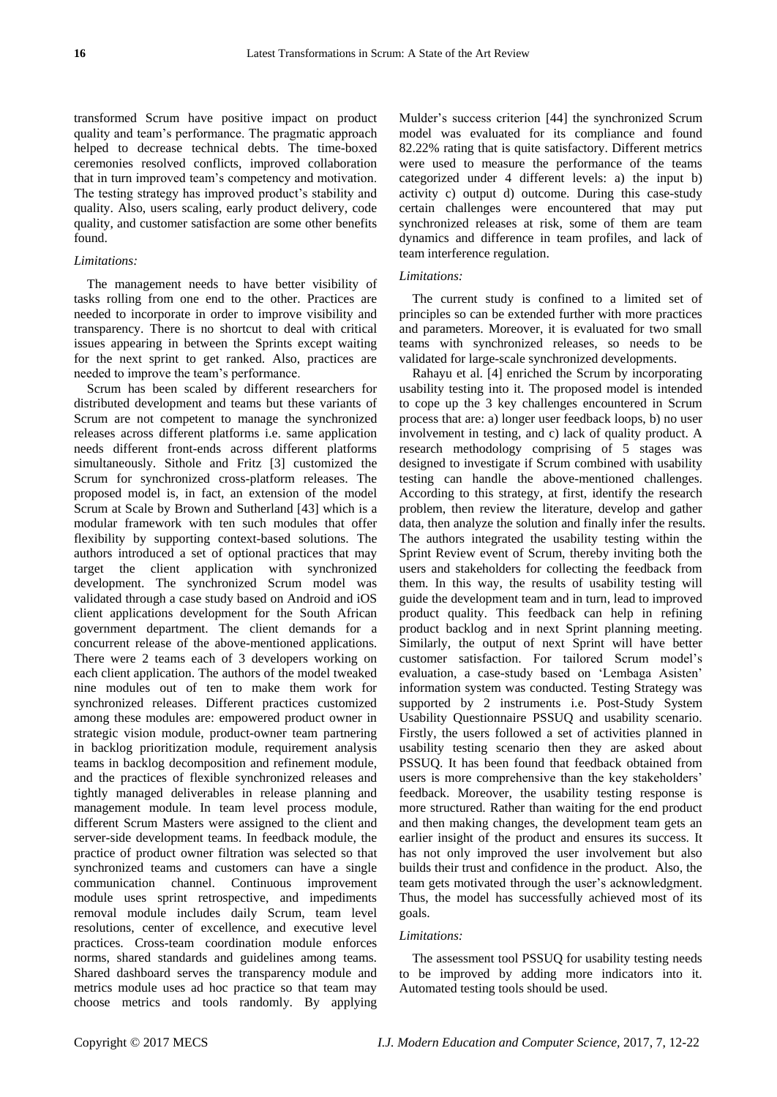transformed Scrum have positive impact on product quality and team's performance. The pragmatic approach helped to decrease technical debts. The time-boxed ceremonies resolved conflicts, improved collaboration that in turn improved team's competency and motivation. The testing strategy has improved product's stability and quality. Also, users scaling, early product delivery, code quality, and customer satisfaction are some other benefits found.

# *Limitations:*

The management needs to have better visibility of tasks rolling from one end to the other. Practices are needed to incorporate in order to improve visibility and transparency. There is no shortcut to deal with critical issues appearing in between the Sprints except waiting for the next sprint to get ranked. Also, practices are needed to improve the team's performance.

Scrum has been scaled by different researchers for distributed development and teams but these variants of Scrum are not competent to manage the synchronized releases across different platforms i.e. same application needs different front-ends across different platforms simultaneously. Sithole and Fritz [3] customized the Scrum for synchronized cross-platform releases. The proposed model is, in fact, an extension of the model Scrum at Scale by Brown and Sutherland [43] which is a modular framework with ten such modules that offer flexibility by supporting context-based solutions. The authors introduced a set of optional practices that may target the client application with synchronized development. The synchronized Scrum model was validated through a case study based on Android and iOS client applications development for the South African government department. The client demands for a concurrent release of the above-mentioned applications. There were 2 teams each of 3 developers working on each client application. The authors of the model tweaked nine modules out of ten to make them work for synchronized releases. Different practices customized among these modules are: empowered product owner in strategic vision module, product-owner team partnering in backlog prioritization module, requirement analysis teams in backlog decomposition and refinement module, and the practices of flexible synchronized releases and tightly managed deliverables in release planning and management module. In team level process module, different Scrum Masters were assigned to the client and server-side development teams. In feedback module, the practice of product owner filtration was selected so that synchronized teams and customers can have a single communication channel. Continuous improvement module uses sprint retrospective, and impediments removal module includes daily Scrum, team level resolutions, center of excellence, and executive level practices. Cross-team coordination module enforces norms, shared standards and guidelines among teams. Shared dashboard serves the transparency module and metrics module uses ad hoc practice so that team may choose metrics and tools randomly. By applying

Mulder's success criterion [44] the synchronized Scrum model was evaluated for its compliance and found 82.22% rating that is quite satisfactory. Different metrics were used to measure the performance of the teams categorized under 4 different levels: a) the input b) activity c) output d) outcome. During this case-study certain challenges were encountered that may put synchronized releases at risk, some of them are team dynamics and difference in team profiles, and lack of team interference regulation.

# *Limitations:*

The current study is confined to a limited set of principles so can be extended further with more practices and parameters. Moreover, it is evaluated for two small teams with synchronized releases, so needs to be validated for large-scale synchronized developments.

Rahayu et al. [4] enriched the Scrum by incorporating usability testing into it. The proposed model is intended to cope up the 3 key challenges encountered in Scrum process that are: a) longer user feedback loops, b) no user involvement in testing, and c) lack of quality product. A research methodology comprising of 5 stages was designed to investigate if Scrum combined with usability testing can handle the above-mentioned challenges. According to this strategy, at first, identify the research problem, then review the literature, develop and gather data, then analyze the solution and finally infer the results. The authors integrated the usability testing within the Sprint Review event of Scrum, thereby inviting both the users and stakeholders for collecting the feedback from them. In this way, the results of usability testing will guide the development team and in turn, lead to improved product quality. This feedback can help in refining product backlog and in next Sprint planning meeting. Similarly, the output of next Sprint will have better customer satisfaction. For tailored Scrum model's evaluation, a case-study based on 'Lembaga Asisten' information system was conducted. Testing Strategy was supported by 2 instruments i.e. Post-Study System Usability Questionnaire PSSUQ and usability scenario. Firstly, the users followed a set of activities planned in usability testing scenario then they are asked about PSSUQ. It has been found that feedback obtained from users is more comprehensive than the key stakeholders' feedback. Moreover, the usability testing response is more structured. Rather than waiting for the end product and then making changes, the development team gets an earlier insight of the product and ensures its success. It has not only improved the user involvement but also builds their trust and confidence in the product. Also, the team gets motivated through the user's acknowledgment. Thus, the model has successfully achieved most of its goals.

#### *Limitations:*

The assessment tool PSSUQ for usability testing needs to be improved by adding more indicators into it. Automated testing tools should be used.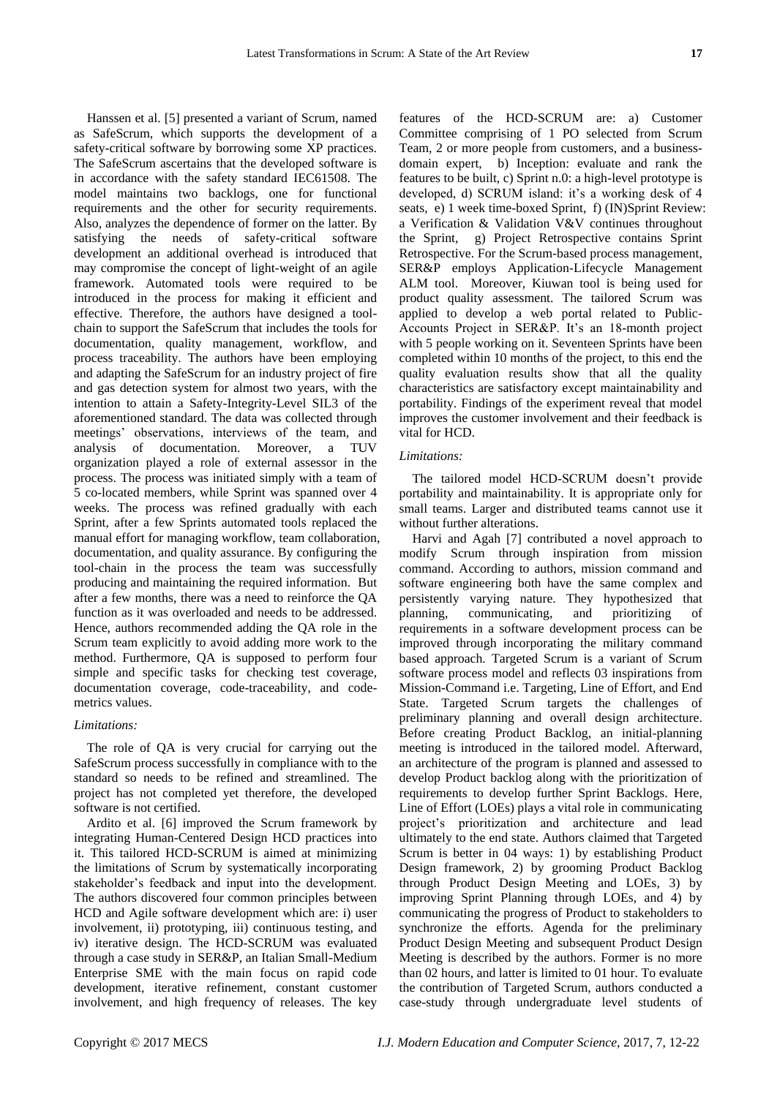Hanssen et al. [5] presented a variant of Scrum, named as SafeScrum, which supports the development of a safety-critical software by borrowing some XP practices. The SafeScrum ascertains that the developed software is in accordance with the safety standard IEC61508. The model maintains two backlogs, one for functional requirements and the other for security requirements. Also, analyzes the dependence of former on the latter. By satisfying the needs of safety-critical software development an additional overhead is introduced that may compromise the concept of light-weight of an agile framework. Automated tools were required to be introduced in the process for making it efficient and effective. Therefore, the authors have designed a toolchain to support the SafeScrum that includes the tools for documentation, quality management, workflow, and process traceability. The authors have been employing and adapting the SafeScrum for an industry project of fire and gas detection system for almost two years, with the intention to attain a Safety-Integrity-Level SIL3 of the aforementioned standard. The data was collected through meetings' observations, interviews of the team, and analysis of documentation. Moreover, a TUV organization played a role of external assessor in the process. The process was initiated simply with a team of 5 co-located members, while Sprint was spanned over 4 weeks. The process was refined gradually with each Sprint, after a few Sprints automated tools replaced the manual effort for managing workflow, team collaboration, documentation, and quality assurance. By configuring the tool-chain in the process the team was successfully producing and maintaining the required information. But after a few months, there was a need to reinforce the QA function as it was overloaded and needs to be addressed. Hence, authors recommended adding the QA role in the Scrum team explicitly to avoid adding more work to the method. Furthermore, QA is supposed to perform four simple and specific tasks for checking test coverage, documentation coverage, code-traceability, and codemetrics values.

#### *Limitations:*

The role of QA is very crucial for carrying out the SafeScrum process successfully in compliance with to the standard so needs to be refined and streamlined. The project has not completed yet therefore, the developed software is not certified.

Ardito et al. [6] improved the Scrum framework by integrating Human-Centered Design HCD practices into it. This tailored HCD-SCRUM is aimed at minimizing the limitations of Scrum by systematically incorporating stakeholder's feedback and input into the development. The authors discovered four common principles between HCD and Agile software development which are: i) user involvement, ii) prototyping, iii) continuous testing, and iv) iterative design. The HCD-SCRUM was evaluated through a case study in SER&P, an Italian Small-Medium Enterprise SME with the main focus on rapid code development, iterative refinement, constant customer involvement, and high frequency of releases. The key

features of the HCD-SCRUM are: a) Customer Committee comprising of 1 PO selected from Scrum Team, 2 or more people from customers, and a businessdomain expert, b) Inception: evaluate and rank the features to be built, c) Sprint n.0: a high-level prototype is developed, d) SCRUM island: it's a working desk of 4 seats, e) 1 week time-boxed Sprint, f) (IN)Sprint Review: a Verification & Validation V&V continues throughout the Sprint, g) Project Retrospective contains Sprint Retrospective. For the Scrum-based process management, SER&P employs Application-Lifecycle Management ALM tool. Moreover, Kiuwan tool is being used for product quality assessment. The tailored Scrum was applied to develop a web portal related to Public-Accounts Project in SER&P. It's an 18-month project with 5 people working on it. Seventeen Sprints have been completed within 10 months of the project, to this end the quality evaluation results show that all the quality characteristics are satisfactory except maintainability and portability. Findings of the experiment reveal that model improves the customer involvement and their feedback is vital for HCD.

#### *Limitations:*

The tailored model HCD-SCRUM doesn't provide portability and maintainability. It is appropriate only for small teams. Larger and distributed teams cannot use it without further alterations.

Harvi and Agah [7] contributed a novel approach to modify Scrum through inspiration from mission command. According to authors, mission command and software engineering both have the same complex and persistently varying nature. They hypothesized that planning, communicating, and prioritizing of requirements in a software development process can be improved through incorporating the military command based approach. Targeted Scrum is a variant of Scrum software process model and reflects 03 inspirations from Mission-Command i.e. Targeting, Line of Effort, and End State. Targeted Scrum targets the challenges of preliminary planning and overall design architecture. Before creating Product Backlog, an initial-planning meeting is introduced in the tailored model. Afterward, an architecture of the program is planned and assessed to develop Product backlog along with the prioritization of requirements to develop further Sprint Backlogs. Here, Line of Effort (LOEs) plays a vital role in communicating project's prioritization and architecture and lead ultimately to the end state. Authors claimed that Targeted Scrum is better in 04 ways: 1) by establishing Product Design framework, 2) by grooming Product Backlog through Product Design Meeting and LOEs, 3) by improving Sprint Planning through LOEs, and 4) by communicating the progress of Product to stakeholders to synchronize the efforts. Agenda for the preliminary Product Design Meeting and subsequent Product Design Meeting is described by the authors. Former is no more than 02 hours, and latter is limited to 01 hour. To evaluate the contribution of Targeted Scrum, authors conducted a case-study through undergraduate level students of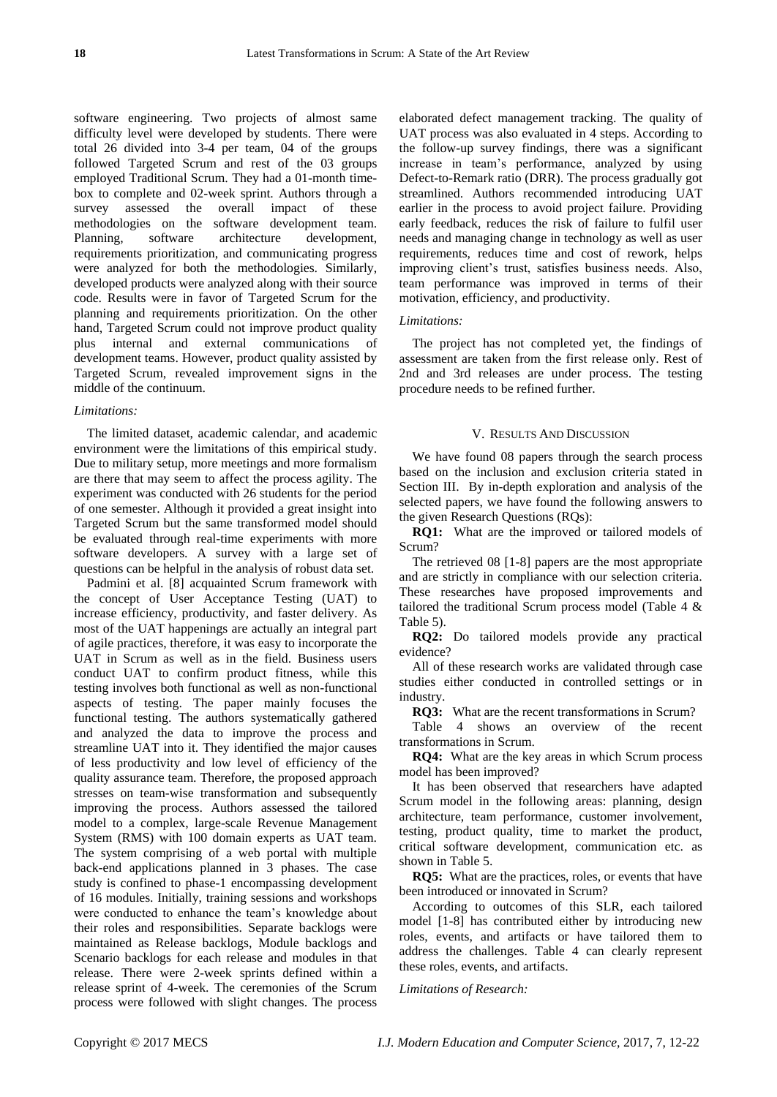software engineering. Two projects of almost same difficulty level were developed by students. There were total 26 divided into 3-4 per team, 04 of the groups followed Targeted Scrum and rest of the 03 groups employed Traditional Scrum. They had a 01-month timebox to complete and 02-week sprint. Authors through a survey assessed the overall impact of these methodologies on the software development team. Planning, software architecture development, requirements prioritization, and communicating progress were analyzed for both the methodologies. Similarly, developed products were analyzed along with their source code. Results were in favor of Targeted Scrum for the planning and requirements prioritization. On the other hand, Targeted Scrum could not improve product quality plus internal and external communications of development teams. However, product quality assisted by Targeted Scrum, revealed improvement signs in the middle of the continuum.

## *Limitations:*

The limited dataset, academic calendar, and academic environment were the limitations of this empirical study. Due to military setup, more meetings and more formalism are there that may seem to affect the process agility. The experiment was conducted with 26 students for the period of one semester. Although it provided a great insight into Targeted Scrum but the same transformed model should be evaluated through real-time experiments with more software developers. A survey with a large set of questions can be helpful in the analysis of robust data set.

Padmini et al. [8] acquainted Scrum framework with the concept of User Acceptance Testing (UAT) to increase efficiency, productivity, and faster delivery. As most of the UAT happenings are actually an integral part of agile practices, therefore, it was easy to incorporate the UAT in Scrum as well as in the field. Business users conduct UAT to confirm product fitness, while this testing involves both functional as well as non-functional aspects of testing. The paper mainly focuses the functional testing. The authors systematically gathered and analyzed the data to improve the process and streamline UAT into it. They identified the major causes of less productivity and low level of efficiency of the quality assurance team. Therefore, the proposed approach stresses on team-wise transformation and subsequently improving the process. Authors assessed the tailored model to a complex, large-scale Revenue Management System (RMS) with 100 domain experts as UAT team. The system comprising of a web portal with multiple back-end applications planned in 3 phases. The case study is confined to phase-1 encompassing development of 16 modules. Initially, training sessions and workshops were conducted to enhance the team's knowledge about their roles and responsibilities. Separate backlogs were maintained as Release backlogs, Module backlogs and Scenario backlogs for each release and modules in that release. There were 2-week sprints defined within a release sprint of 4-week. The ceremonies of the Scrum process were followed with slight changes. The process

elaborated defect management tracking. The quality of UAT process was also evaluated in 4 steps. According to the follow-up survey findings, there was a significant increase in team's performance, analyzed by using Defect-to-Remark ratio (DRR). The process gradually got streamlined. Authors recommended introducing UAT earlier in the process to avoid project failure. Providing early feedback, reduces the risk of failure to fulfil user needs and managing change in technology as well as user requirements, reduces time and cost of rework, helps improving client's trust, satisfies business needs. Also, team performance was improved in terms of their motivation, efficiency, and productivity.

# *Limitations:*

The project has not completed yet, the findings of assessment are taken from the first release only. Rest of 2nd and 3rd releases are under process. The testing procedure needs to be refined further.

#### V. RESULTS AND DISCUSSION

We have found 08 papers through the search process based on the inclusion and exclusion criteria stated in Section III. By in-depth exploration and analysis of the selected papers, we have found the following answers to the given Research Questions (RQs):

**RQ1:** What are the improved or tailored models of Scrum?

The retrieved 08 [1-8] papers are the most appropriate and are strictly in compliance with our selection criteria. These researches have proposed improvements and tailored the traditional Scrum process model (Table 4 & Table 5).

**RQ2:** Do tailored models provide any practical evidence?

All of these research works are validated through case studies either conducted in controlled settings or in industry.

**RQ3:** What are the recent transformations in Scrum?

Table 4 shows an overview of the recent transformations in Scrum.

**RQ4:** What are the key areas in which Scrum process model has been improved?

It has been observed that researchers have adapted Scrum model in the following areas: planning, design architecture, team performance, customer involvement, testing, product quality, time to market the product, critical software development, communication etc. as shown in Table 5.

**RQ5:** What are the practices, roles, or events that have been introduced or innovated in Scrum?

According to outcomes of this SLR, each tailored model [1-8] has contributed either by introducing new roles, events, and artifacts or have tailored them to address the challenges. Table 4 can clearly represent these roles, events, and artifacts.

*Limitations of Research:*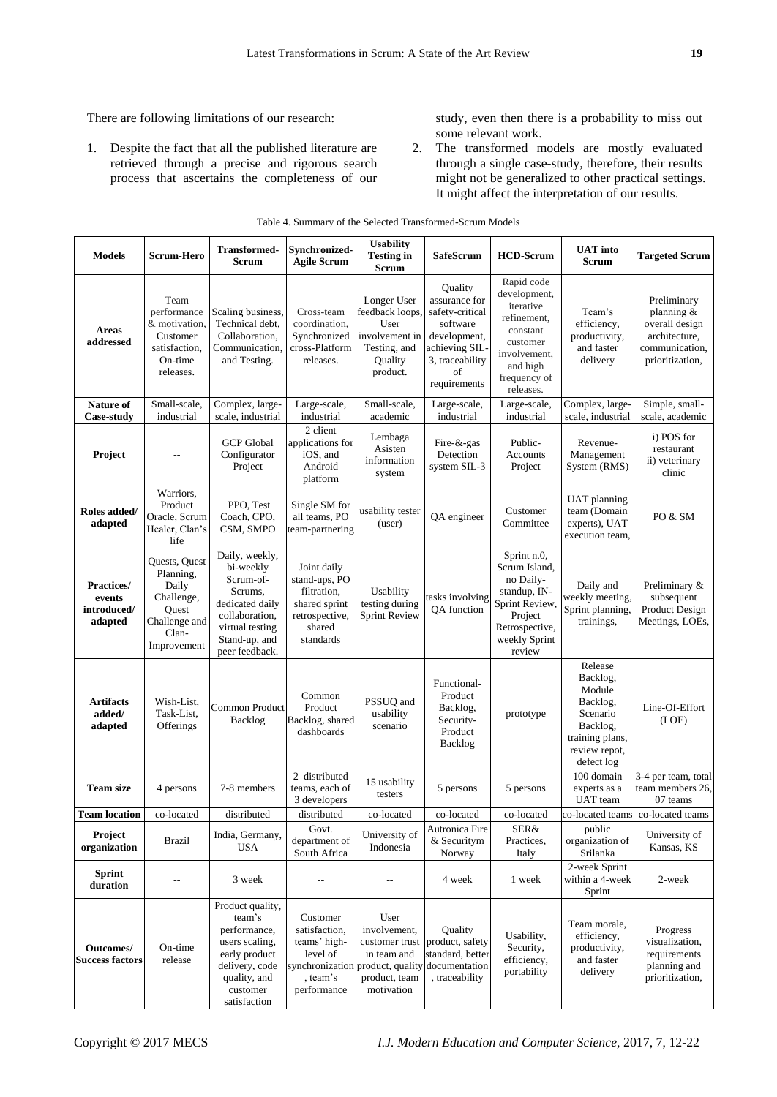There are following limitations of our research:

1. Despite the fact that all the published literature are retrieved through a precise and rigorous search process that ascertains the completeness of our study, even then there is a probability to miss out some relevant work.

2. The transformed models are mostly evaluated through a single case-study, therefore, their results might not be generalized to other practical settings. It might affect the interpretation of our results.

| <b>Models</b>                                         | <b>Scrum-Hero</b>                                                                                   | <b>Transformed-</b><br><b>Scrum</b>                                                                                                            | Synchronized-<br><b>Agile Scrum</b>                                                                   | <b>Usability</b><br><b>Testing in</b><br>Scrum                                                                                         | SafeScrum                                                                                                                         | <b>HCD-Scrum</b>                                                                                                                        | <b>UAT</b> into<br><b>Scrum</b>                                                                                     | <b>Targeted Scrum</b>                                                                             |
|-------------------------------------------------------|-----------------------------------------------------------------------------------------------------|------------------------------------------------------------------------------------------------------------------------------------------------|-------------------------------------------------------------------------------------------------------|----------------------------------------------------------------------------------------------------------------------------------------|-----------------------------------------------------------------------------------------------------------------------------------|-----------------------------------------------------------------------------------------------------------------------------------------|---------------------------------------------------------------------------------------------------------------------|---------------------------------------------------------------------------------------------------|
| <b>Areas</b><br>addressed                             | Team<br>performance<br>& motivation.<br>Customer<br>satisfaction,<br>On-time<br>releases.           | Scaling business,<br>Technical debt,<br>Collaboration,<br>Communication,<br>and Testing.                                                       | Cross-team<br>coordination,<br>Synchronized<br>cross-Platform<br>releases.                            | Longer User<br>feedback loops.<br>User<br>involvement in<br>Testing, and<br>Quality<br>product.                                        | Quality<br>assurance for<br>safety-critical<br>software<br>development,<br>achieving SIL<br>3, traceability<br>οf<br>requirements | Rapid code<br>development,<br>iterative<br>refinement,<br>constant<br>customer<br>involvement,<br>and high<br>frequency of<br>releases. | Team's<br>efficiency,<br>productivity,<br>and faster<br>delivery                                                    | Preliminary<br>planning &<br>overall design<br>architecture,<br>communication,<br>prioritization, |
| Nature of<br><b>Case-study</b>                        | Small-scale,<br>industrial                                                                          | Complex, large-<br>scale, industrial                                                                                                           | Large-scale,<br>industrial                                                                            | Small-scale,<br>academic                                                                                                               | Large-scale,<br>industrial                                                                                                        | Large-scale,<br>industrial                                                                                                              | Complex, large-<br>scale, industrial                                                                                | Simple, small-<br>scale, academic                                                                 |
| Project                                               |                                                                                                     | <b>GCP</b> Global<br>Configurator<br>Project                                                                                                   | 2 client<br>applications for<br>iOS, and<br>Android<br>platform                                       | Lembaga<br>Asisten<br>information<br>system                                                                                            | Fire-&-gas<br>Detection<br>system SIL-3                                                                                           | Public-<br>Accounts<br>Project                                                                                                          | Revenue-<br>Management<br>System (RMS)                                                                              | i) POS for<br>restaurant<br>ii) veterinary<br>clinic                                              |
| Roles added/<br>adapted                               | Warriors,<br>Product<br>Oracle, Scrum<br>Healer, Clan's<br>life                                     | PPO, Test<br>Coach, CPO,<br>CSM, SMPO                                                                                                          | Single SM for<br>all teams, PO<br>team-partnering                                                     | usability tester<br>(user)                                                                                                             | QA engineer                                                                                                                       | Customer<br>Committee                                                                                                                   | <b>UAT</b> planning<br>team (Domain<br>experts), UAT<br>execution team,                                             | PO & SM                                                                                           |
| <b>Practices/</b><br>events<br>introduced/<br>adapted | Quests, Quest<br>Planning,<br>Daily<br>Challenge,<br>Ouest<br>Challenge and<br>Clan-<br>Improvement | Daily, weekly,<br>bi-weekly<br>Scrum-of-<br>Scrums,<br>dedicated daily<br>collaboration,<br>virtual testing<br>Stand-up, and<br>peer feedback. | Joint daily<br>stand-ups, PO<br>filtration,<br>shared sprint<br>retrospective,<br>shared<br>standards | Usability<br>testing during<br><b>Sprint Review</b>                                                                                    | tasks involving<br>QA function                                                                                                    | Sprint n.0,<br>Scrum Island,<br>no Daily-<br>standup, IN-<br>Sprint Review,<br>Project<br>Retrospective,<br>weekly Sprint<br>review     | Daily and<br>weekly meeting,<br>Sprint planning,<br>trainings,                                                      | Preliminary &<br>subsequent<br>Product Design<br>Meetings, LOEs,                                  |
| <b>Artifacts</b><br>added/<br>adapted                 | Wish-List,<br>Task-List,<br>Offerings                                                               | Common Product<br>Backlog                                                                                                                      | Common<br>Product<br>Backlog, shared<br>dashboards                                                    | PSSUQ and<br>usability<br>scenario                                                                                                     | Functional-<br>Product<br>Backlog,<br>Security-<br>Product<br>Backlog                                                             | prototype                                                                                                                               | Release<br>Backlog,<br>Module<br>Backlog,<br>Scenario<br>Backlog,<br>training plans,<br>review repot,<br>defect log | Line-Of-Effort<br>(LOE)                                                                           |
| <b>Team size</b>                                      | 4 persons                                                                                           | 7-8 members                                                                                                                                    | 2 distributed<br>teams, each of<br>3 developers                                                       | 15 usability<br>testers                                                                                                                | 5 persons                                                                                                                         | 5 persons                                                                                                                               | 100 domain<br>experts as a<br>UAT team                                                                              | 3-4 per team, total<br>team members 26,<br>07 teams                                               |
| <b>Team location</b>                                  | co-located                                                                                          | distributed                                                                                                                                    | distributed                                                                                           | co-located                                                                                                                             | co-located                                                                                                                        | co-located                                                                                                                              | co-located teams                                                                                                    | co-located teams                                                                                  |
| Project<br>organization                               | <b>Brazil</b>                                                                                       | India, Germany,<br><b>USA</b>                                                                                                                  | Govt.<br>department of<br>South Africa                                                                | University of<br>Indonesia                                                                                                             | Autronica Fire<br>& Securitym<br>Norway                                                                                           | SER&<br>Practices,<br>Italy                                                                                                             | public<br>organization of<br>Srilanka                                                                               | University of<br>Kansas, KS                                                                       |
| <b>Sprint</b><br>duration                             | --                                                                                                  | 3 week                                                                                                                                         | --                                                                                                    | --                                                                                                                                     | 4 week                                                                                                                            | 1 week                                                                                                                                  | 2-week Sprint<br>within a 4-week<br>Sprint                                                                          | 2-week                                                                                            |
| Outcomes/<br><b>Success factors</b>                   | On-time<br>release                                                                                  | Product quality,<br>team's<br>performance,<br>users scaling,<br>early product<br>delivery, code<br>quality, and<br>customer<br>satisfaction    | Customer<br>satisfaction,<br>teams' high-<br>level of<br>, team's<br>performance                      | User<br>involvement,<br>customer trust<br>in team and<br>synchronization product, quality documentation<br>product, team<br>motivation | Quality<br>product, safety<br>standard, better<br>, traceability                                                                  | Usability,<br>Security,<br>efficiency,<br>portability                                                                                   | Team morale,<br>efficiency,<br>productivity,<br>and faster<br>delivery                                              | Progress<br>visualization,<br>requirements<br>planning and<br>prioritization,                     |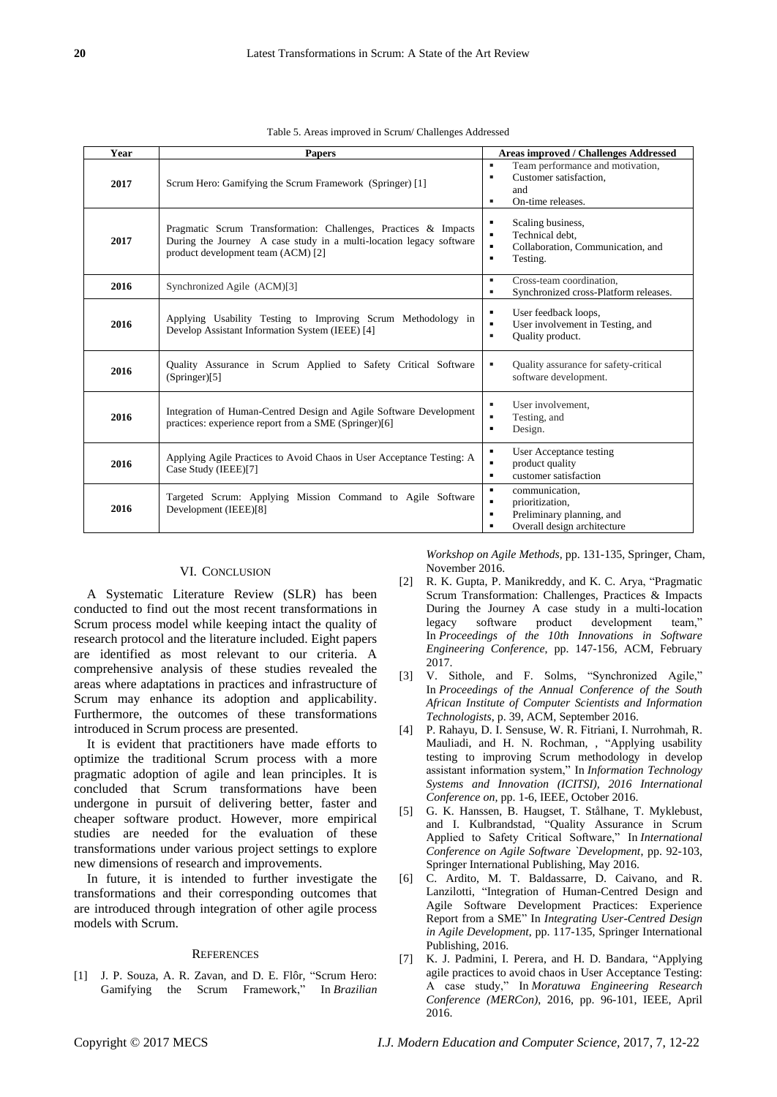| Year | <b>Papers</b>                                                                                                                                                                | <b>Areas improved / Challenges Addressed</b>                                                                                        |
|------|------------------------------------------------------------------------------------------------------------------------------------------------------------------------------|-------------------------------------------------------------------------------------------------------------------------------------|
| 2017 | Scrum Hero: Gamifying the Scrum Framework (Springer) [1]                                                                                                                     | ٠<br>Team performance and motivation,<br>Customer satisfaction.<br>٠<br>and<br>On-time releases.<br>٠                               |
| 2017 | Pragmatic Scrum Transformation: Challenges, Practices & Impacts<br>During the Journey A case study in a multi-location legacy software<br>product development team (ACM) [2] | Scaling business,<br>٠<br>Technical debt,<br>$\blacksquare$<br>Collaboration, Communication, and<br>$\blacksquare$<br>Testing.<br>٠ |
| 2016 | Synchronized Agile (ACM)[3]                                                                                                                                                  | Cross-team coordination.<br>٠<br>Synchronized cross-Platform releases.<br>٠                                                         |
| 2016 | Applying Usability Testing to Improving Scrum Methodology in<br>Develop Assistant Information System (IEEE) [4]                                                              | User feedback loops,<br>٠<br>User involvement in Testing, and<br>٠<br>Quality product.<br>٠                                         |
| 2016 | Quality Assurance in Scrum Applied to Safety Critical Software<br>(Springer)[5]                                                                                              | Quality assurance for safety-critical<br>٠<br>software development.                                                                 |
| 2016 | Integration of Human-Centred Design and Agile Software Development<br>practices: experience report from a SME (Springer)[6]                                                  | User involvement.<br>٠<br>Testing, and<br>٠<br>Design.<br>٠                                                                         |
| 2016 | Applying Agile Practices to Avoid Chaos in User Acceptance Testing: A<br>Case Study (IEEE)[7]                                                                                | User Acceptance testing<br>٠<br>product quality<br>٠<br>customer satisfaction<br>٠                                                  |
| 2016 | Targeted Scrum: Applying Mission Command to Agile Software<br>Development (IEEE)[8]                                                                                          | ٠<br>communication.<br>٠<br>prioritization,<br>Preliminary planning, and<br>٠<br>Overall design architecture<br>٠                   |

Table 5. Areas improved in Scrum/ Challenges Addressed

## VI. CONCLUSION

A Systematic Literature Review (SLR) has been conducted to find out the most recent transformations in Scrum process model while keeping intact the quality of research protocol and the literature included. Eight papers are identified as most relevant to our criteria. A comprehensive analysis of these studies revealed the areas where adaptations in practices and infrastructure of Scrum may enhance its adoption and applicability. Furthermore, the outcomes of these transformations introduced in Scrum process are presented.

It is evident that practitioners have made efforts to optimize the traditional Scrum process with a more pragmatic adoption of agile and lean principles. It is concluded that Scrum transformations have been undergone in pursuit of delivering better, faster and cheaper software product. However, more empirical studies are needed for the evaluation of these transformations under various project settings to explore new dimensions of research and improvements.

In future, it is intended to further investigate the transformations and their corresponding outcomes that are introduced through integration of other agile process models with Scrum.

#### **REFERENCES**

[1] J. P. Souza, A. R. Zavan, and D. E. Flôr, "Scrum Hero: Gamifying the Scrum Framework," In *Brazilian* 

*Workshop on Agile Methods,* pp. 131-135, Springer, Cham, November 2016.

- [2] R. K. Gupta, P. Manikreddy, and K. C. Arya, "Pragmatic Scrum Transformation: Challenges, Practices & Impacts During the Journey A case study in a multi-location legacy software product development team." legacy software product development team," In *Proceedings of the 10th Innovations in Software Engineering Conference*, pp. 147-156, ACM, February 2017.
- [3] V. Sithole, and F. Solms, "Synchronized Agile," In *Proceedings of the Annual Conference of the South African Institute of Computer Scientists and Information Technologists*, p. 39, ACM, September 2016.
- [4] P. Rahayu, D. I. Sensuse, W. R. Fitriani, I. Nurrohmah, R. Mauliadi, and H. N. Rochman, , "Applying usability testing to improving Scrum methodology in develop assistant information system," In *Information Technology Systems and Innovation (ICITSI), 2016 International Conference on,* pp. 1-6, IEEE, October 2016.
- [5] G. K. Hanssen, B. Haugset, T. Stålhane, T. Myklebust, and I. Kulbrandstad, "Quality Assurance in Scrum Applied to Safety Critical Software," In *International Conference on Agile Software `Development*, pp. 92-103, Springer International Publishing, May 2016.
- [6] C. Ardito, M. T. Baldassarre, D. Caivano, and R. Lanzilotti, "Integration of Human-Centred Design and Agile Software Development Practices: Experience Report from a SME" In *Integrating User-Centred Design in Agile Development*, pp. 117-135, Springer International Publishing, 2016.
- [7] K. J. Padmini, I. Perera, and H. D. Bandara, "Applying agile practices to avoid chaos in User Acceptance Testing: A case study," In *Moratuwa Engineering Research Conference (MERCon)*, 2016, pp. 96-101, IEEE, April 2016.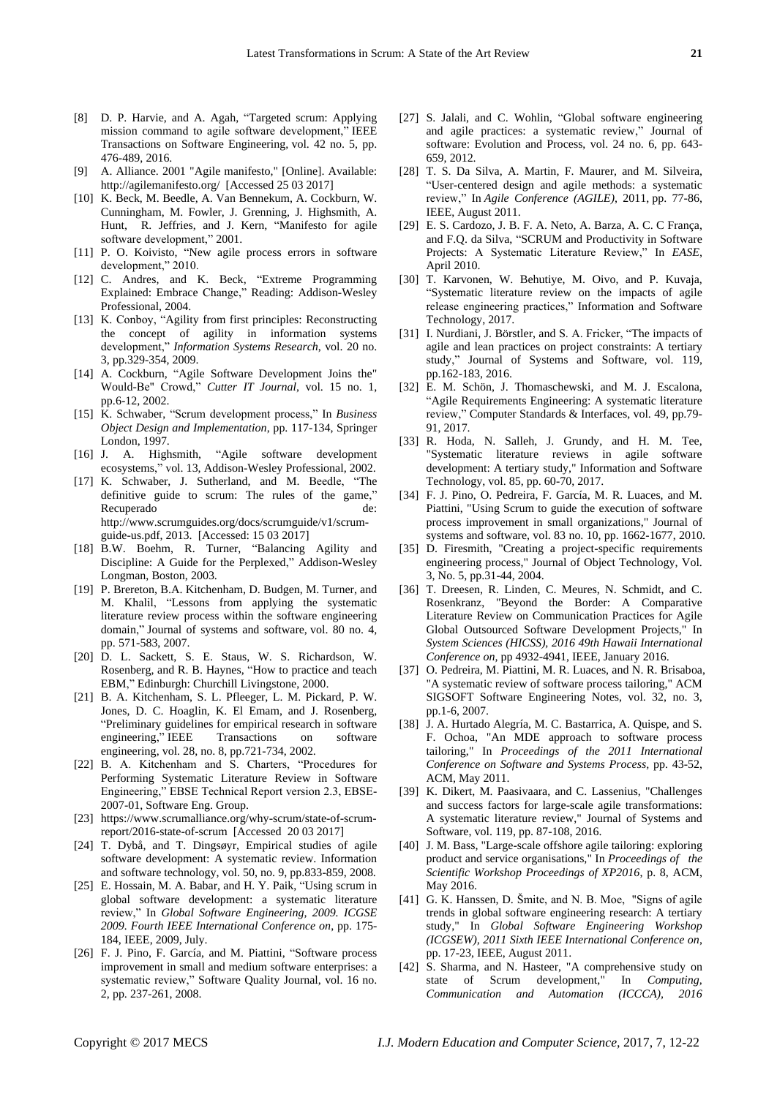- [8] D. P. Harvie, and A. Agah, "Targeted scrum: Applying mission command to agile software development," IEEE Transactions on Software Engineering, vol. 42 no. 5, pp. 476-489, 2016.
- [9] A. Alliance. 2001 "Agile manifesto," [Online]. Available: http://agilemanifesto.org/ [Accessed 25 03 2017]
- [10] K. Beck, M. Beedle, A. Van Bennekum, A. Cockburn, W. Cunningham, M. Fowler, J. Grenning, J. Highsmith, A. Hunt, R. Jeffries, and J. Kern, "Manifesto for agile software development," 2001.
- [11] P. O. Koivisto, "New agile process errors in software development," 2010.
- [12] C. Andres, and K. Beck, "Extreme Programming Explained: Embrace Change," Reading: Addison-Wesley Professional, 2004.
- [13] K. Conboy, "Agility from first principles: Reconstructing the concept of agility in information systems development," *Information Systems Research*, vol. 20 no. 3, pp.329-354, 2009.
- [14] A. Cockburn, "Agile Software Development Joins the" Would-Be" Crowd," *Cutter IT Journal*, vol. 15 no. 1, pp.6-12, 2002.
- [15] K. Schwaber, "Scrum development process," In *Business Object Design and Implementation*, pp. 117-134, Springer London, 1997.
- [16] J. A. Highsmith, "Agile software development ecosystems," vol. 13, Addison-Wesley Professional, 2002.
- [17] K. Schwaber, J. Sutherland, and M. Beedle, "The definitive guide to scrum: The rules of the game," Recuperado de: http://www.scrumguides.org/docs/scrumguide/v1/scrumguide-us.pdf, 2013. [Accessed: 15 03 2017]
- [18] B.W. Boehm, R. Turner, "Balancing Agility and Discipline: A Guide for the Perplexed," Addison-Wesley Longman, Boston, 2003.
- [19] P. Brereton, B.A. Kitchenham, D. Budgen, M. Turner, and M. Khalil, "Lessons from applying the systematic literature review process within the software engineering domain," Journal of systems and software, vol. 80 no. 4, pp. 571-583, 2007.
- [20] D. L. Sackett, S. E. Staus, W. S. Richardson, W. Rosenberg, and R. B. Haynes, "How to practice and teach EBM," Edinburgh: Churchill Livingstone, 2000.
- [21] B. A. Kitchenham, S. L. Pfleeger, L. M. Pickard, P. W. Jones, D. C. Hoaglin, K. El Emam, and J. Rosenberg, "Preliminary guidelines for empirical research in software engineering," IEEE Transactions on software engineering, vol. 28, no. 8, pp.721-734, 2002.
- [22] B. A. Kitchenham and S. Charters, "Procedures for Performing Systematic Literature Review in Software Engineering," EBSE Technical Report version 2.3, EBSE-2007-01, Software Eng. Group.
- [23] https://www.scrumalliance.org/why-scrum/state-of-scrumreport/2016-state-of-scrum [Accessed 20 03 2017]
- [24] T. Dybå, and T. Dingsøyr, Empirical studies of agile software development: A systematic review. Information and software technology, vol. 50, no. 9, pp.833-859, 2008.
- [25] E. Hossain, M. A. Babar, and H. Y. Paik, "Using scrum in global software development: a systematic literature review," In *Global Software Engineering, 2009. ICGSE 2009. Fourth IEEE International Conference on*, pp. 175- 184, IEEE, 2009, July.
- [26] F. J. Pino, F. Garc á, and M. Piattini, "Software process improvement in small and medium software enterprises: a systematic review," Software Quality Journal, vol. 16 no. 2, pp. 237-261, 2008.
- [27] S. Jalali, and C. Wohlin, "Global software engineering and agile practices: a systematic review," Journal of software: Evolution and Process, vol. 24 no. 6, pp. 643- 659, 2012.
- [28] T. S. Da Silva, A. Martin, F. Maurer, and M. Silveira, "User-centered design and agile methods: a systematic review," In *Agile Conference (AGILE)*, 2011, pp. 77-86, IEEE, August 2011.
- [29] E. S. Cardozo, J. B. F. A. Neto, A. Barza, A. C. C França, and F.Q. da Silva, "SCRUM and Productivity in Software Projects: A Systematic Literature Review," In *EASE*, April 2010.
- [30] T. Karvonen, W. Behutiye, M. Oivo, and P. Kuvaja, "Systematic literature review on the impacts of agile release engineering practices," Information and Software Technology, 2017.
- [31] I. Nurdiani, J. Börstler, and S. A. Fricker, "The impacts of agile and lean practices on project constraints: A tertiary study," Journal of Systems and Software, vol. 119, pp.162-183, 2016.
- [32] E. M. Schön, J. Thomaschewski, and M. J. Escalona, "Agile Requirements Engineering: A systematic literature review," Computer Standards & Interfaces, vol. 49, pp.79- 91, 2017.
- [33] R. Hoda, N. Salleh, J. Grundy, and H. M. Tee, "Systematic literature reviews in agile software development: A tertiary study," Information and Software Technology, vol. 85, pp. 60-70, 2017.
- [34] F. J. Pino, O. Pedreira, F. Garc á, M. R. Luaces, and M. Piattini, "Using Scrum to guide the execution of software process improvement in small organizations," Journal of systems and software, vol. 83 no. 10, pp. 1662-1677, 2010.
- [35] D. Firesmith, "Creating a project-specific requirements engineering process," Journal of Object Technology, Vol. 3, No. 5, pp.31-44, 2004.
- [36] T. Dreesen, R. Linden, C. Meures, N. Schmidt, and C. Rosenkranz, "Beyond the Border: A Comparative Literature Review on Communication Practices for Agile Global Outsourced Software Development Projects," In *System Sciences (HICSS), 2016 49th Hawaii International Conference on,* pp 4932-4941, IEEE, January 2016.
- [37] O. Pedreira, M. Piattini, M. R. Luaces, and N. R. Brisaboa, "A systematic review of software process tailoring," ACM SIGSOFT Software Engineering Notes, vol. 32, no. 3, pp.1-6, 2007.
- [38] J. A. Hurtado Alegr á, M. C. Bastarrica, A. Quispe, and S. F. Ochoa, "An MDE approach to software process tailoring," In *Proceedings of the 2011 International Conference on Software and Systems Process,* pp. 43-52, ACM, May 2011.
- [39] K. Dikert, M. Paasivaara, and C. Lassenius, "Challenges and success factors for large-scale agile transformations: A systematic literature review," Journal of Systems and Software, vol. 119, pp. 87-108, 2016.
- [40] J. M. Bass, "Large-scale offshore agile tailoring: exploring product and service organisations," In *Proceedings of the Scientific Workshop Proceedings of XP2016*, p. 8, ACM, May 2016.
- [41] G. K. Hanssen, D. Šmite, and N. B. Moe, "Signs of agile trends in global software engineering research: A tertiary study," In *Global Software Engineering Workshop (ICGSEW), 2011 Sixth IEEE International Conference on*, pp. 17-23, IEEE, August 2011.
- [42] S. Sharma, and N. Hasteer, "A comprehensive study on state of Scrum development," In *Computing, Communication and Automation (ICCCA), 2016*